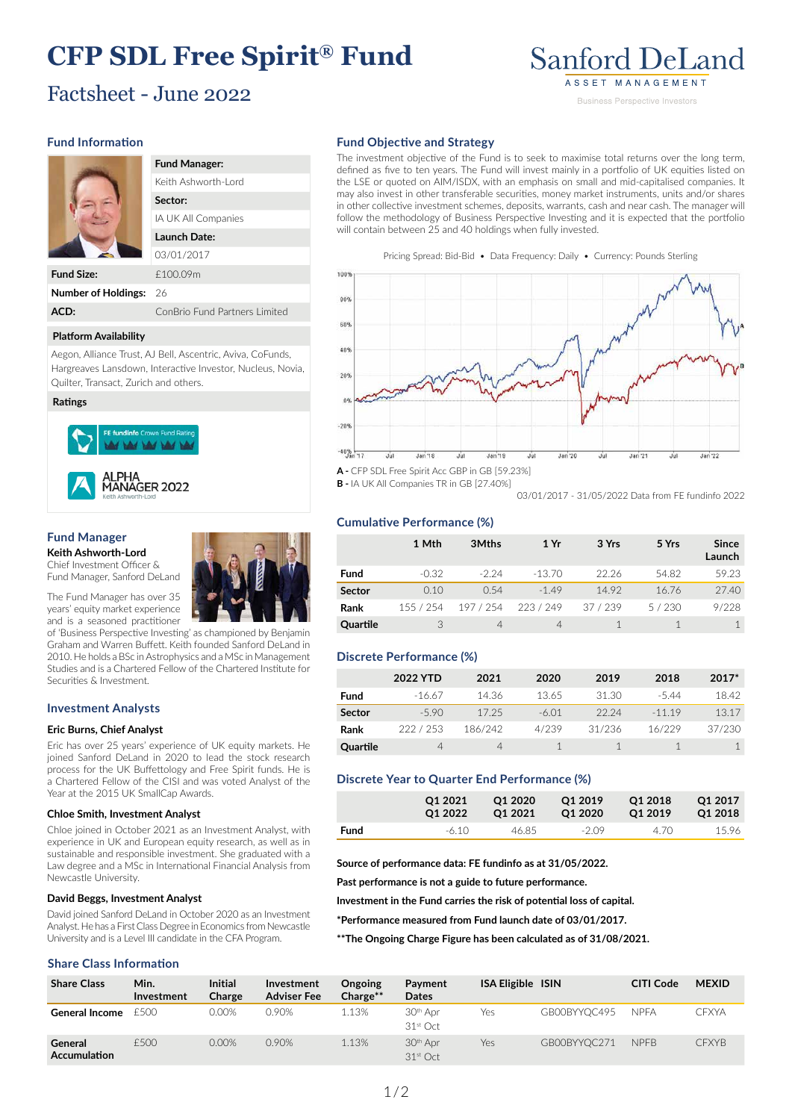# **CFP SDL Free Spirit® Fund**

# Factsheet - June 2022

# **Sanford DeLand** ASSET MANAGEMENT **Business Perspective Investors**

# **Fund Information**

|    | <b>Fund Manager:</b>          |
|----|-------------------------------|
|    | Keith Ashworth-Lord           |
|    | Sector:                       |
|    | IA UK All Companies           |
|    | Launch Date:                  |
|    | 03/01/2017                    |
|    | £100.09m                      |
| s: | 26                            |
|    | ConBrio Fund Partners Limited |
|    |                               |

#### **Platform Availability**

**Number of Holding** 

Aegon, Alliance Trust, AJ Bell, Ascentric, Aviva, CoFunds, Hargreaves Lansdown, Interactive Investor, Nucleus, Novia, Quilter, Transact, Zurich and others.

#### **Ratings**

**Fund Size:** 

**ACD:** 



#### **Fund Manager Keith Ashworth-Lord**

Chief Investment Officer & Fund Manager, Sanford DeLand



of 'Business Perspective Investing' as championed by Benjamin Graham and Warren Buffett. Keith founded Sanford DeLand in 2010. He holds a BSc in Astrophysics and a MSc in Management Studies and is a Chartered Fellow of the Chartered Institute for Securities & Investment.

# **Investment Analysts**

### **Eric Burns, Chief Analyst**

Eric has over 25 years' experience of UK equity markets. He joined Sanford DeLand in 2020 to lead the stock research process for the UK Buffettology and Free Spirit funds. He is a Chartered Fellow of the CISI and was voted Analyst of the Year at the 2015 UK SmallCap Awards.

#### **Chloe Smith, Investment Analyst**

Chloe joined in October 2021 as an Investment Analyst, with experience in UK and European equity research, as well as in sustainable and responsible investment. She graduated with a Law degree and a MSc in International Financial Analysis from Newcastle University.

#### **David Beggs, Investment Analyst**

David joined Sanford DeLand in October 2020 as an Investment Analyst. He has a First Class Degree in Economics from Newcastle University and is a Level III candidate in the CFA Program.

### **Share Class Information**

**Fund Objective and Strategy**

The investment objective of the Fund is to seek to maximise total returns over the long term, defined as five to ten years. The Fund will invest mainly in a portfolio of UK equities listed on the LSE or quoted on AIM/ISDX, with an emphasis on small and mid-capitalised companies. It may also invest in other transferable securities, money market instruments, units and/or shares in other collective investment schemes, deposits, warrants, cash and near cash. The manager will follow the methodology of Business Perspective Investing and it is expected that the portfolio will contain between 25 and 40 holdings when fully invested.

Pricing Spread: Bid-Bid • Data Frequency: Daily • Currency: Pounds Sterling



**A -** CFP SDL Free Spirit Acc GBP in GB [59.23%] **B -** IA UK All Companies TR in GB [27.40%]

03/01/2017 - 31/05/2022 Data from FE fundinfo 2022

# **Cumulative Performance (%)**

|               | 1 Mth     | 3Mths     | 1 Yr     | 3 Yrs    | 5 Yrs | <b>Since</b><br>Launch |
|---------------|-----------|-----------|----------|----------|-------|------------------------|
| <b>Fund</b>   | $-0.32$   | $-2.24$   | $-13.70$ | 22.26    | 54.82 | 59.23                  |
| <b>Sector</b> | 0.10      | 0.54      | $-1.49$  | 14.92    | 16.76 | 27.40                  |
| Rank          | 155 / 254 | 197 / 254 | 223/249  | 37 / 239 | 5/230 | 9/228                  |
| Quartile      |           | 4         | 4        |          |       |                        |

# **Discrete Performance (%)**

|               | 2022 YTD | 2021    | 2020    | 2019   | 2018    | $2017*$ |
|---------------|----------|---------|---------|--------|---------|---------|
| Fund          | $-1667$  | 14.36   | 1365    | 31.30  | $-544$  | 18.42   |
| <b>Sector</b> | $-5.90$  | 17.25   | $-6.01$ | 22.24  | $-1119$ | 13.17   |
| Rank          | 222/253  | 186/242 | 4/239   | 31/236 | 16/229  | 37/230  |
| Quartile      |          | 4       |         |        |         |         |

### **Discrete Year to Quarter End Performance (%)**

|      | 01 2021 | Q1 2020 | O1 2019 | Q1 2018 | O <sub>1</sub> 2017 |
|------|---------|---------|---------|---------|---------------------|
|      | O1 2022 | O1 2021 | O1 2020 | Q1 2019 | Q1 2018             |
| Fund | $-6.10$ | 46.85   | $-2.09$ | 4.70    | 1596                |

**Source of performance data: FE fundinfo as at 31/05/2022.**

**Past performance is not a guide to future performance.**

**Investment in the Fund carries the risk of potential loss of capital.**

**\*Performance measured from Fund launch date of 03/01/2017.**

**\*\*The Ongoing Charge Figure has been calculated as of 31/08/2021.**

| <b>Share Class</b>      | Min.<br>Investment | <b>Initial</b><br>Charge | Investment<br><b>Adviser Fee</b> | Ongoing<br>Charge** | Payment<br><b>Dates</b>                      | <b>ISA Eligible ISIN</b> |              | <b>CITI Code</b> | <b>MEXID</b> |
|-------------------------|--------------------|--------------------------|----------------------------------|---------------------|----------------------------------------------|--------------------------|--------------|------------------|--------------|
| <b>General Income</b>   | F500               | $0.00\%$                 | 0.90%                            | 1.13%               | 30 <sup>th</sup> Apr<br>31 <sup>st</sup> Oct | Yes                      | GB00BYYOC495 | <b>NPFA</b>      | CFXYA        |
| General<br>Accumulation | £500               | 0.00%                    | 0.90%                            | 1.13%               | 30 <sup>th</sup> Apr<br>31 <sup>st</sup> Oct | Yes                      | GB00BYYOC271 | <b>NPFB</b>      | <b>CFXYB</b> |